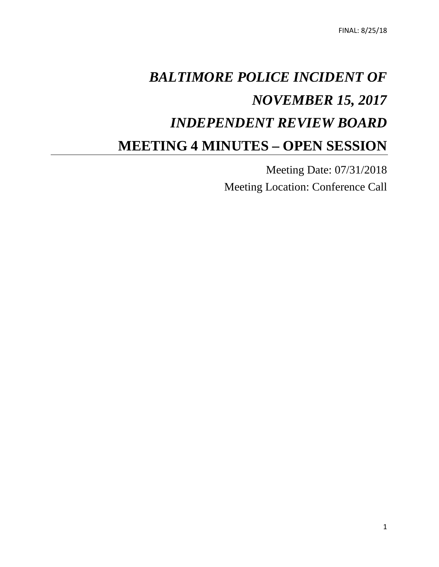# *BALTIMORE POLICE INCIDENT OF NOVEMBER 15, 2017 INDEPENDENT REVIEW BOARD* **MEETING 4 MINUTES – OPEN SESSION**

Meeting Date: 07/31/2018 Meeting Location: Conference Call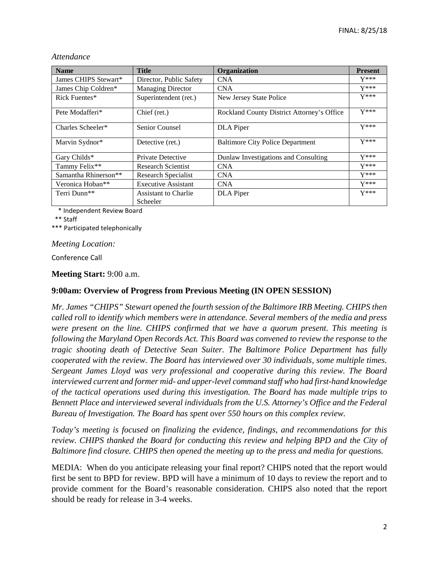| <b>Name</b>                      | <b>Title</b>                            | Organization                               | <b>Present</b> |
|----------------------------------|-----------------------------------------|--------------------------------------------|----------------|
| James CHIPS Stewart*             | Director, Public Safety                 | <b>CNA</b>                                 | $Y***$         |
| James Chip Coldren*              | <b>Managing Director</b>                | <b>CNA</b>                                 | $Y***$         |
| Rick Fuentes*                    | Superintendent (ret.)                   | New Jersey State Police                    | $Y***$         |
| Pete Modafferi <sup>*</sup>      | Chief (ret.)                            | Rockland County District Attorney's Office | $Y***$         |
| Charles Scheeler*                | Senior Counsel                          | DLA Piper                                  | $Y***$         |
| Marvin Sydnor*                   | Detective (ret.)                        | <b>Baltimore City Police Department</b>    | $Y***$         |
| Gary Childs*                     | <b>Private Detective</b>                | Dunlaw Investigations and Consulting       | $Y***$         |
| Tammy Felix**                    | Research Scientist                      | <b>CNA</b>                                 | $Y***$         |
| Samantha Rhinerson <sup>**</sup> | Research Specialist                     | <b>CNA</b>                                 | $Y***$         |
| Veronica Hoban**                 | <b>Executive Assistant</b>              | <b>CNA</b>                                 | $Y***$         |
| Terri Dunn**                     | <b>Assistant to Charlie</b><br>Scheeler | <b>DLA</b> Piper                           | $Y***$         |

#### *Attendance*

\* Independent Review Board

\*\* Staff

\*\*\* Participated telephonically

#### *Meeting Location:*

Conference Call

#### **Meeting Start:** 9:00 a.m.

### **9:00am: Overview of Progress from Previous Meeting (IN OPEN SESSION)**

*Mr. James "CHIPS" Stewart opened the fourth session of the Baltimore IRB Meeting. CHIPS then called roll to identify which members were in attendance. Several members of the media and press were present on the line. CHIPS confirmed that we have a quorum present. This meeting is following the Maryland Open Records Act. This Board was convened to review the response to the tragic shooting death of Detective Sean Suiter. The Baltimore Police Department has fully cooperated with the review. The Board has interviewed over 30 individuals, some multiple times. Sergeant James Lloyd was very professional and cooperative during this review. The Board interviewed current and former mid- and upper-level command staff who had first-hand knowledge of the tactical operations used during this investigation. The Board has made multiple trips to Bennett Place and interviewed several individuals from the U.S. Attorney's Office and the Federal Bureau of Investigation. The Board has spent over 550 hours on this complex review.* 

*Today's meeting is focused on finalizing the evidence, findings, and recommendations for this review. CHIPS thanked the Board for conducting this review and helping BPD and the City of Baltimore find closure. CHIPS then opened the meeting up to the press and media for questions.* 

MEDIA: When do you anticipate releasing your final report? CHIPS noted that the report would first be sent to BPD for review. BPD will have a minimum of 10 days to review the report and to provide comment for the Board's reasonable consideration. CHIPS also noted that the report should be ready for release in 3-4 weeks.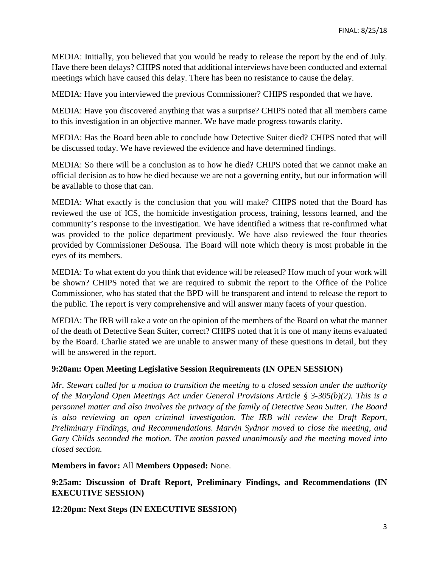MEDIA: Initially, you believed that you would be ready to release the report by the end of July. Have there been delays? CHIPS noted that additional interviews have been conducted and external meetings which have caused this delay. There has been no resistance to cause the delay.

MEDIA: Have you interviewed the previous Commissioner? CHIPS responded that we have.

MEDIA: Have you discovered anything that was a surprise? CHIPS noted that all members came to this investigation in an objective manner. We have made progress towards clarity.

MEDIA: Has the Board been able to conclude how Detective Suiter died? CHIPS noted that will be discussed today. We have reviewed the evidence and have determined findings.

MEDIA: So there will be a conclusion as to how he died? CHIPS noted that we cannot make an official decision as to how he died because we are not a governing entity, but our information will be available to those that can.

MEDIA: What exactly is the conclusion that you will make? CHIPS noted that the Board has reviewed the use of ICS, the homicide investigation process, training, lessons learned, and the community's response to the investigation. We have identified a witness that re-confirmed what was provided to the police department previously. We have also reviewed the four theories provided by Commissioner DeSousa. The Board will note which theory is most probable in the eyes of its members.

MEDIA: To what extent do you think that evidence will be released? How much of your work will be shown? CHIPS noted that we are required to submit the report to the Office of the Police Commissioner, who has stated that the BPD will be transparent and intend to release the report to the public. The report is very comprehensive and will answer many facets of your question.

MEDIA: The IRB will take a vote on the opinion of the members of the Board on what the manner of the death of Detective Sean Suiter, correct? CHIPS noted that it is one of many items evaluated by the Board. Charlie stated we are unable to answer many of these questions in detail, but they will be answered in the report.

### **9:20am: Open Meeting Legislative Session Requirements (IN OPEN SESSION)**

*Mr. Stewart called for a motion to transition the meeting to a closed session under the authority of the Maryland Open Meetings Act under General Provisions Article § 3-305(b)(2). This is a personnel matter and also involves the privacy of the family of Detective Sean Suiter. The Board is also reviewing an open criminal investigation. The IRB will review the Draft Report, Preliminary Findings, and Recommendations. Marvin Sydnor moved to close the meeting, and Gary Childs seconded the motion. The motion passed unanimously and the meeting moved into closed section.*

**Members in favor:** All **Members Opposed:** None.

**9:25am: Discussion of Draft Report, Preliminary Findings, and Recommendations (IN EXECUTIVE SESSION)**

**12:20pm: Next Steps (IN EXECUTIVE SESSION)**